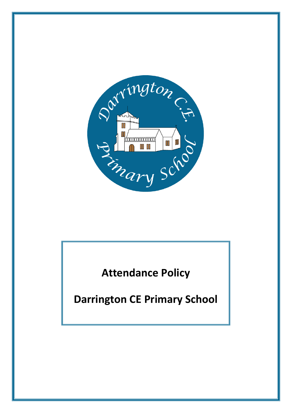

**Attendance Policy**

**Darrington CE Primary School**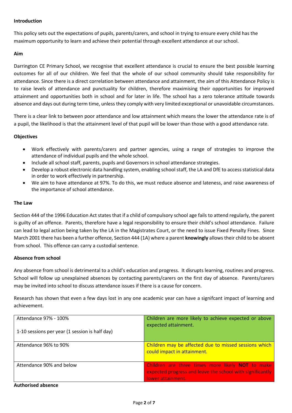### **Introduction**

This policy sets out the expectations of pupils, parents/carers, and school in trying to ensure every child has the maximum opportunity to learn and achieve their potential through excellent attendance at our school.

### **Aim**

Darrington CE Primary School, we recognise that excellent attendance is crucial to ensure the best possible learning outcomes for all of our children. We feel that the whole of our school community should take responsibility for attendance. Since there is a direct correlation between attendance and attainment, the aim of this Attendance Policy is to raise levels of attendance and punctuality for children, therefore maximising their opportunities for improved attainment and opportunities both in school and for later in life. The school has a zero tolerance attitude towards absence and days out during term time, unless they comply with very limited exceptional or unavoidable circumstances.

There is a clear link to between poor attendance and low attainment which means the lower the attendance rate is of a pupil, the likelihood is that the attainment level of that pupil will be lower than those with a good attendance rate.

# **Objectives**

- Work effectively with parents/carers and partner agencies, using a range of strategies to improve the attendance of individual pupils and the whole school.
- Include all school staff, parents, pupils and Governors in school attendance strategies.
- Develop a robust electronic data handling system, enabling school staff, the LA and DfE to access statistical data in order to work effectively in partnership.
- We aim to have attendance at 97%. To do this, we must reduce absence and lateness, and raise awareness of the importance of school attendance.

# **The Law**

Section 444 of the 1996 Education Act states that if a child of compulsory school age fails to attend regularly, the parent is guilty of an offence. Parents, therefore have a legal responsibility to ensure their child's school attendance. Failure can lead to legal action being taken by the LA in the Magistrates Court, or the need to issue Fixed Penalty Fines. Since March 2001 there has been a further offence, Section 444 (1A) where a parent **knowingly** allows their child to be absent from school. This offence can carry a custodial sentence.

### **Absence from school**

Any absence from school is detrimental to a child's education and progress. It disrupts learning, routines and progress. School will follow up unexplained absences by contacting parents/carers on the first day of absence. Parents/carers may be invited into school to discuss attendance issues if there is a cause for concern.

Research has shown that even a few days lost in any one academic year can have a signifcant impact of learning and achievement.

| Attendance 97% - 100%                          | Children are more likely to achieve expected or above<br>expected attainment.                                                             |
|------------------------------------------------|-------------------------------------------------------------------------------------------------------------------------------------------|
| 1-10 sessions per year (1 session is half day) |                                                                                                                                           |
| Attendance 96% to 90%                          | Children may be affected due to missed sessions which<br>could impact in attainment.                                                      |
| Attendance 90% and below                       | Children are three times more likely <b>NOT</b> to make<br>expected progress and leave the school with significantly<br>lower attainment. |

**Authorised absence**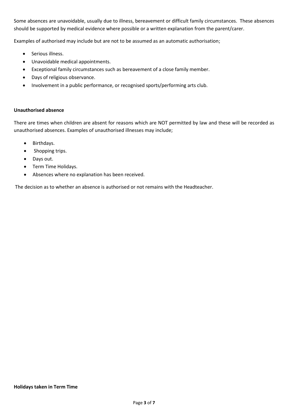Some absences are unavoidable, usually due to illness, bereavement or difficult family circumstances. These absences should be supported by medical evidence where possible or a written explanation from the parent/carer.

Examples of authorised may include but are not to be assumed as an automatic authorisation;

- Serious illness.
- Unavoidable medical appointments.
- Exceptional family circumstances such as bereavement of a close family member.
- Days of religious observance.
- Involvement in a public performance, or recognised sports/performing arts club.

### **Unauthorised absence**

There are times when children are absent for reasons which are NOT permitted by law and these will be recorded as unauthorised absences. Examples of unauthorised illnesses may include;

- Birthdays.
- Shopping trips.
- Days out.
- Term Time Holidays.
- Absences where no explanation has been received.

The decision as to whether an absence is authorised or not remains with the Headteacher.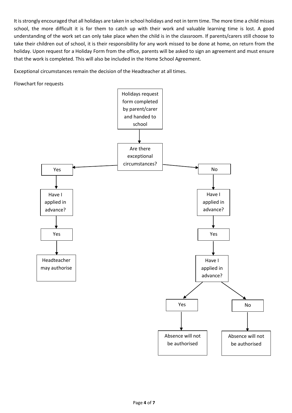It is strongly encouraged that all holidays are taken in school holidays and not in term time. The more time a child misses school, the more difficult it is for them to catch up with their work and valuable learning time is lost. A good understanding of the work set can only take place when the child is in the classroom. If parents/carers still choose to take their children out of school, it is their responsibility for any work missed to be done at home, on return from the holiday. Upon request for a Holiday Form from the office, parents will be asked to sign an agreement and must ensure that the work is completed. This will also be included in the Home School Agreement.

Exceptional circumstances remain the decision of the Headteacher at all times.

Flowchart for requests

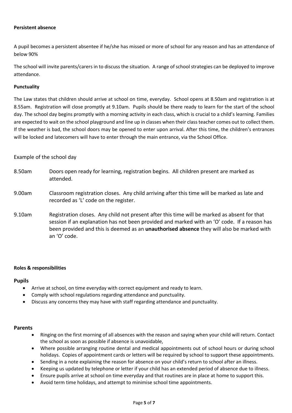#### **Persistent absence**

A pupil becomes a persistent absentee if he/she has missed or more of school for any reason and has an attendance of below 90%

The school will invite parents/carers in to discuss the situation. A range of school strategies can be deployed to improve attendance.

### **Punctuality**

The Law states that children should arrive at school on time, everyday. School opens at 8.50am and registration is at 8.55am. Registration will close promptly at 9.10am. Pupils should be there ready to learn for the start of the school day. The school day begins promptly with a morning activity in each class, which is crucial to a child's learning. Families are expected to wait on the school playground and line up in classes when their class teacher comes out to collect them. If the weather is bad, the school doors may be opened to enter upon arrival. After this time, the children's entrances will be locked and latecomers will have to enter through the main entrance, via the School Office.

# Example of the school day

- 8.50am Doors open ready for learning, registration begins. All children present are marked as attended.
- 9.00am Classroom registration closes. Any child arriving after this time will be marked as late and recorded as 'L' code on the register.
- 9.10am Registration closes. Any child not present after this time will be marked as absent for that session if an explanation has not been provided and marked with an 'O' code. If a reason has been provided and this is deemed as an **unauthorised absence** they will also be marked with an 'O' code.

### **Roles & responsibilities**

### **Pupils**

- Arrive at school, on time everyday with correct equipment and ready to learn.
- Comply with school regulations regarding attendance and punctuality.
- Discuss any concerns they may have with staff regarding attendance and punctuality.

### **Parents**

- Ringing on the first morning of all absences with the reason and saying when your child will return. Contact the school as soon as possible if absence is unavoidable,
- Where possible arranging routine dental and medical appointments out of school hours or during school holidays. Copies of appointment cards or letters will be required by school to support these appointments.
- Sending in a note explaining the reason for absence on your child's return to school after an illness.
- Keeping us updated by telephone or letter if your child has an extended period of absence due to illness.
- Ensure pupils arrive at school on time everyday and that routines are in place at home to support this.
- Avoid term time holidays, and attempt to minimise school time appointments.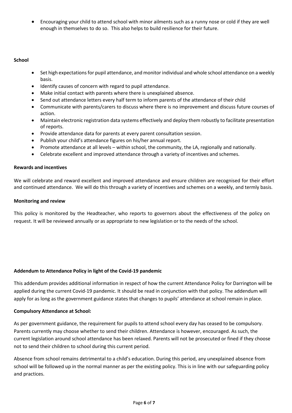Encouraging your child to attend school with minor ailments such as a runny nose or cold if they are well enough in themselves to do so. This also helps to build resilience for their future.

# **School**

- Set high expectations for pupil attendance, and monitor individual and whole school attendance on a weekly basis.
- Identify causes of concern with regard to pupil attendance.
- Make initial contact with parents where there is unexplained absence.
- Send out attendance letters every half term to inform parents of the attendance of their child
- Communicate with parents/carers to discuss where there is no improvement and discuss future courses of action.
- Maintain electronic registration data systems effectively and deploy them robustly to facilitate presentation of reports.
- Provide attendance data for parents at every parent consultation session.
- Publish your child's attendance figures on his/her annual report.
- Promote attendance at all levels within school, the community, the LA, regionally and nationally.
- Celebrate excellent and improved attendance through a variety of incentives and schemes.

### **Rewards and incentives**

We will celebrate and reward excellent and improved attendance and ensure children are recognised for their effort and continued attendance. We will do this through a variety of incentives and schemes on a weekly, and termly basis.

#### **Monitoring and review**

This policy is monitored by the Headteacher, who reports to governors about the effectiveness of the policy on request. It will be reviewed annually or as appropriate to new legislation or to the needs of the school.

### **Addendum to Attendance Policy in light of the Covid-19 pandemic**

This addendum provides additional information in respect of how the current Attendance Policy for Darrington will be applied during the current Covid-19 pandemic. It should be read in conjunction with that policy. The addendum will apply for as long as the government guidance states that changes to pupils' attendance at school remain in place.

### **Compulsory Attendance at School:**

As per government guidance, the requirement for pupils to attend school every day has ceased to be compulsory. Parents currently may choose whether to send their children. Attendance is however, encouraged. As such, the current legislation around school attendance has been relaxed. Parents will not be prosecuted or fined if they choose not to send their children to school during this current period.

Absence from school remains detrimental to a child's education. During this period, any unexplained absence from school will be followed up in the normal manner as per the existing policy. This is in line with our safeguarding policy and practices.